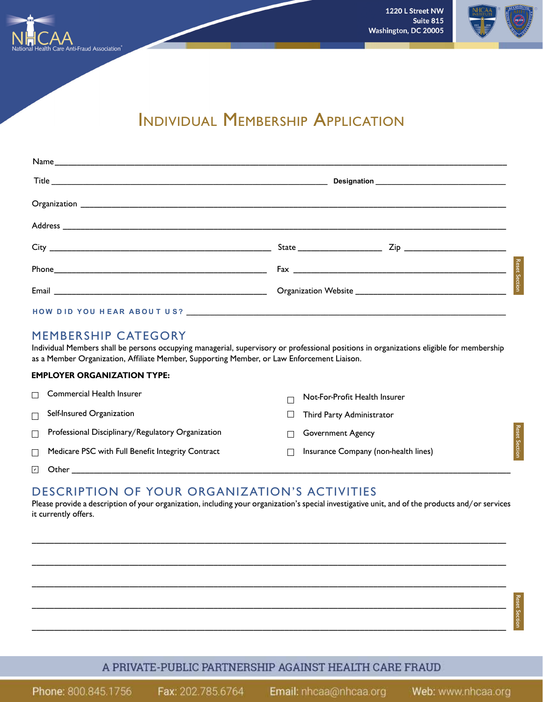

Reset Section

# Individual Membership Application

#### MEMBERSHIP CATEGORY

Individual Members shall be persons occupying managerial, supervisory or professional positions in organizations eligible for membership as a Member Organization, Affiliate Member, Supporting Member, or Law Enforcement Liaison.

#### **EMPLOYER ORGANIZATION TYPE:**

|        | $\Box$ Commercial Health Insurer                  | Not-For-Profit Health Insurer        |                      |
|--------|---------------------------------------------------|--------------------------------------|----------------------|
|        | $\Box$ Self-Insured Organization                  | Third Party Administrator            |                      |
| $\Box$ | Professional Disciplinary/Regulatory Organization | <b>Government Agency</b>             | <b>Reset Section</b> |
| П      | Medicare PSC with Full Benefit Integrity Contract | Insurance Company (non-health lines) |                      |
| ☑      | Other                                             |                                      |                      |

### DESCRIPTION OF YOUR ORGANIZATION'S ACTIVITIES

Please provide a description of your organization, including your organization's special investigative unit, and of the products and/or services it currently offers.

\_\_\_\_\_\_\_\_\_\_\_\_\_\_\_\_\_\_\_\_\_\_\_\_\_\_\_\_\_\_\_\_\_\_\_\_\_\_\_\_\_\_\_\_\_\_\_\_\_\_\_\_\_\_\_\_\_\_\_\_\_\_\_\_\_\_\_\_\_\_\_\_\_\_\_\_\_\_\_\_\_\_\_\_\_\_\_\_\_\_\_\_\_\_\_\_\_\_\_\_\_\_\_\_\_\_\_

\_\_\_\_\_\_\_\_\_\_\_\_\_\_\_\_\_\_\_\_\_\_\_\_\_\_\_\_\_\_\_\_\_\_\_\_\_\_\_\_\_\_\_\_\_\_\_\_\_\_\_\_\_\_\_\_\_\_\_\_\_\_\_\_\_\_\_\_\_\_\_\_\_\_\_\_\_\_\_\_\_\_\_\_\_\_\_\_\_\_\_\_\_\_\_\_\_\_\_\_\_\_\_\_\_\_\_

\_\_\_\_\_\_\_\_\_\_\_\_\_\_\_\_\_\_\_\_\_\_\_\_\_\_\_\_\_\_\_\_\_\_\_\_\_\_\_\_\_\_\_\_\_\_\_\_\_\_\_\_\_\_\_\_\_\_\_\_\_\_\_\_\_\_\_\_\_\_\_\_\_\_\_\_\_\_\_\_\_\_\_\_\_\_\_\_\_\_\_\_\_\_\_\_\_\_\_\_\_\_\_\_\_\_\_

\_\_\_\_\_\_\_\_\_\_\_\_\_\_\_\_\_\_\_\_\_\_\_\_\_\_\_\_\_\_\_\_\_\_\_\_\_\_\_\_\_\_\_\_\_\_\_\_\_\_\_\_\_\_\_\_\_\_\_\_\_\_\_\_\_\_\_\_\_\_\_\_\_\_\_\_\_\_\_\_\_\_\_\_\_\_\_\_\_\_\_\_\_\_\_\_\_\_\_\_\_\_\_\_\_\_\_

\_\_\_\_\_\_\_\_\_\_\_\_\_\_\_\_\_\_\_\_\_\_\_\_\_\_\_\_\_\_\_\_\_\_\_\_\_\_\_\_\_\_\_\_\_\_\_\_\_\_\_\_\_\_\_\_\_\_\_\_\_\_\_\_\_\_\_\_\_\_\_\_\_\_\_\_\_\_\_\_\_\_\_\_\_\_\_\_\_\_\_\_\_\_\_\_\_\_\_\_\_\_\_\_\_\_\_

#### A PRIVATE-PUBLIC PARTNERSHIP AGAINST HEALTH CARE FRAUD